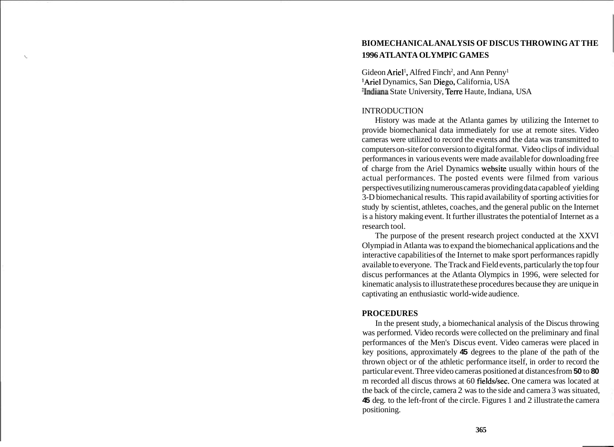# **BIOMECHANICAL ANALYSIS OF DISCUS THROWING AT THE**  <sup>i</sup>**1996 ATLANTA OLYMPIC GAMES**

Gideon Ariel<sup>1</sup>, Alfred Finch<sup>2</sup>, and Ann Penny<sup>1</sup> 'Ariel Dynamics, San Diego, California, USA 21ndiana State University, Terre Haute, Indiana, USA

#### **INTRODUCTION**

History was made at the Atlanta games by utilizing the Internet to provide biomechanical data immediately for use at remote sites. Video cameras were utilized to record the events and the data was transmitted to computers on-site for conversion to digital format. Video clips of individual performances in various events were made available for downloading free of charge from the Ariel Dynamics website usually within hours of the actual performances. The posted events were filmed from various perspectives utilizing numerous cameras providing data capable of yielding 3-D biomechanical results. This rapid availability of sporting activities for study by scientist, athletes, coaches, and the general public on the Internet is a history making event. It further illustrates the potential of Internet as a research tool.

The purpose of the present research project conducted at the XXVI Olympiad in Atlanta was to expand the biomechanical applications and the interactive capabilities of the Internet to make sport performances rapidly available to everyone. The Track and Field events, particularly the top four discus performances at the Atlanta Olympics in 1996, were selected for kinematic analysis to illustrate these procedures because they are unique in captivating an enthusiastic world-wide audience.

#### **PROCEDURES**

In the present study, a biomechanical analysis of the Discus throwing was performed. Video records were collected on the preliminary and final performances of the Men's Discus event. Video cameras were placed in key positions, approximately **45** degrees to the plane of the path of the thrown object or of the athletic performance itself, in order to record the particular event. Three video cameras positioned at distances from **50** to **80**  m recorded all discus throws at 60 fields/sec. One camera was located at the back of the circle, camera 2 was to the side and camera 3 was situated, **45** deg. to the left-front of the circle. Figures 1 and 2 illustrate the camera positioning.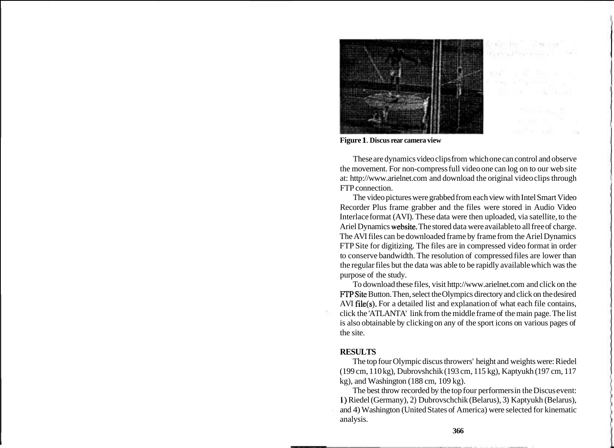

**Figure 1. Discus rear camera view** 

These are dynamics video clips from which one can control and observe the movement. For non-compress full video one can log on to our web site at: http://www.arielnet.com and download the original video clips through FTP connection.

The video pictures were grabbed from each view with Intel Smart Video Recorder Plus frame grabber and the files were stored in Audio Video Interlace format (AVI). These data were then uploaded, via satellite, to the Ariel Dynamics website. The stored data were available to all free of charge. The AVI files can be downloaded frame by frame from the Ariel Dynamics FTP Site for digitizing. The files are in compressed video format in order to conserve bandwidth. The resolution of compressed files are lower than the regular files but the data was able to be rapidly available which was the purpose of the study.

To download these files, visit http://www.arielnet.com and click on the FTPSite Button. Then, select the Olympics directory and click on the desired AVI file(s). For a detailed list and explanation of what each file contains, click the 'ATLANTA' link from the middle frame of the main page. The list is also obtainable by clicking on any of the sport icons on various pages of the site.

#### **RESULTS**

The top four Olympic discus throwers' height and weights were: Riedel (199 cm, 110 kg), Dubrovshchik (193 cm, 115 kg), Kaptyukh (197 cm, 117 kg), and Washington (188 cm, 109 kg).

The best throw recorded by the top four performers in the Discus event: 1) Riedel (Germany), 2) Dubrovschchik (Belarus), 3) Kaptyukh (Belarus), and 4) Washington (United States of America) were selected for kinematic analysis.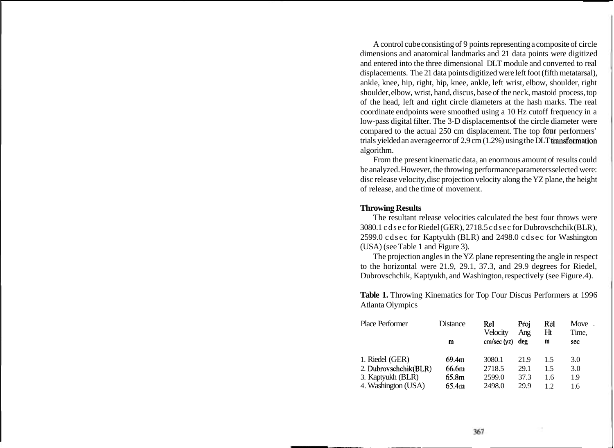A control cube consisting of 9 points representing a composite of circle dimensions and anatomical landmarks and 21 data points were digitized and entered into the three dimensional DLT module and converted to real displacements. The 21 data points digitized were left foot (fifth metatarsal), ankle, knee, hip, right, hip, knee, ankle, left wrist, elbow, shoulder, right shoulder, elbow, wrist, hand, discus, base of the neck, mastoid process, top of the head, left and right circle diameters at the hash marks. The real coordinate endpoints were smoothed using a 10 Hz cutoff frequency in a low-pass digital filter. The 3-D displacements of the circle diameter were compared to the actual 250 cm displacement. The top four performers' trials yielded an average error of 2.9 cm (1.2%) using the DLT transformation algorithm.

From the present kinematic data, an enormous amount of results could be analyzed. However, the throwing performance parameters selected were: disc release velocity, disc projection velocity along the YZ plane, the height of release, and the time of movement.

#### **Throwing Results**

The resultant release velocities calculated the best four throws were 3080.1 cdsec for Riedel (GER), 27 18.5 cdsec for Dubrovschchik (BLR), 2599.0 cdsec for Kaptyukh (BLR) and 2498.0 cdsec for Washington (USA) (see Table 1 and Figure 3).

The projection angles in the YZ plane representing the angle in respect to the horizontal were 21.9, 29.1, 37.3, and 29.9 degrees for Riedel, Dubrovschchik, Kaptyukh, and Washington, respectively (see Figure.4).

Table 1. Throwing Kinematics for Top Four Discus Performers at 1996 Atlanta Olympics

| Place Performer       | Distance | Rel<br>Velocity   | Proj<br>Ang | Rel<br>Ht | Move.<br>Time, |
|-----------------------|----------|-------------------|-------------|-----------|----------------|
|                       | m        | $cm/sec (yz)$ deg |             | m         | sec            |
| 1. Riedel (GER)       | 69.4m    | 3080.1            | 21.9        | 15        | 3.0            |
| 2. Dubrovschchik(BLR) | 66.6m    | 2718.5            | 29.1        | 15        | 3.0            |
| 3. Kaptyukh (BLR)     | 65.8m    | 2599.0            | 37.3        | 1.6       | 1.9            |
| 4. Washington (USA)   | 65.4m    | 2498.0            | 29.9        | 12        | 1.6            |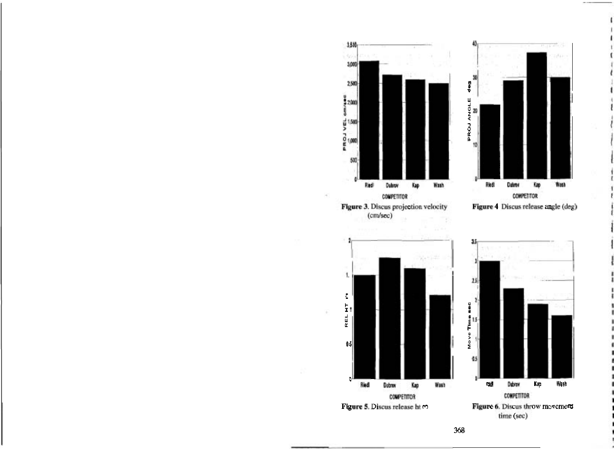

Figure 3. Discus projection velocity  $(cm/sec)$ 



Figure 4 Discus release angle (deg)







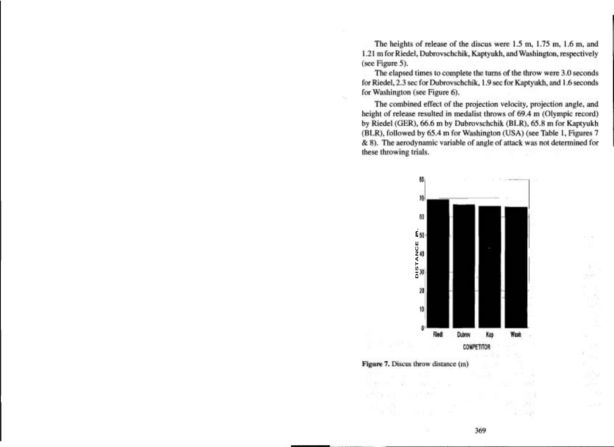The heights of release of the discus were 1.5 m, 1.75 m, 1.6 m, and 1.21 m for Riedel, Dubrovschchik, Kaptyukh, and Washington, respectively (see Figure 5).

The elapsed times to complete the turns of the throw were 3.0 seconds for Riedel, 2.3 sec for Dubrovschchik, 1.9 sec for Kaptyukh, and 1.6 seconds for Washington (see Figure 6).

The combined effect of the projection velocity, projection angle, and height of release resulted in medalist throws of 69.4 m (Olympic record) by Riedel (GER), 66.6 m by Dubrovschchik (BLR), 65.8 m for Kaptyukh (BLR), followed by 65.4 m for Washington (USA) (see Table 1, Figures 7 & 8). The aerodynamic variable of angle of attack was not determined for these throwing trials.



Figure 7. Discus throw distance (m)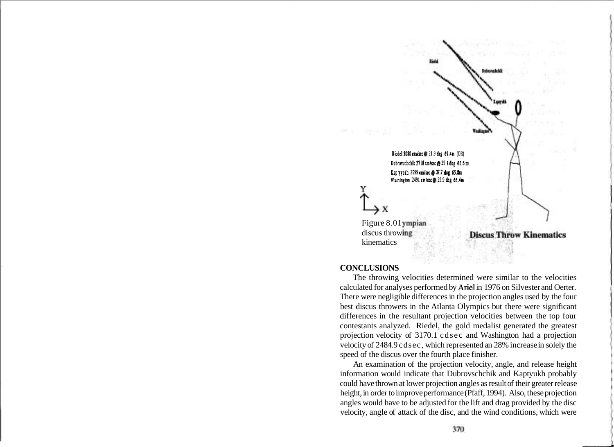

### **CONCLUSIONS**

The throwing velocities determined were similar to the velocities calculated for analyses performed by Ariel in 1976 on Silvester and Oerter. There were negligible differences in the projection angles used by the four best discus throwers in the Atlanta Olympics but there were significant differences in the resultant projection velocities between the top four contestants analyzed. Riedel, the gold medalist generated the greatest projection velocity of 3170.1 cdsec and Washington had a projection velocity of 2484.9 cdsec, which represented an 28% increase in solely the speed of the discus over the fourth place finisher.

An examination of the projection velocity, angle, and release height information would indicate that Dubrovschchik and Kaptyukh probably could have thrown at lower projection angles as result of their greater release height, in order to improve performance (Pfaff, 1994). Also, these projection angles would have to be adjusted for the lift and drag provided by the disc velocity, angle of attack of the disc, and the wind conditions, which were